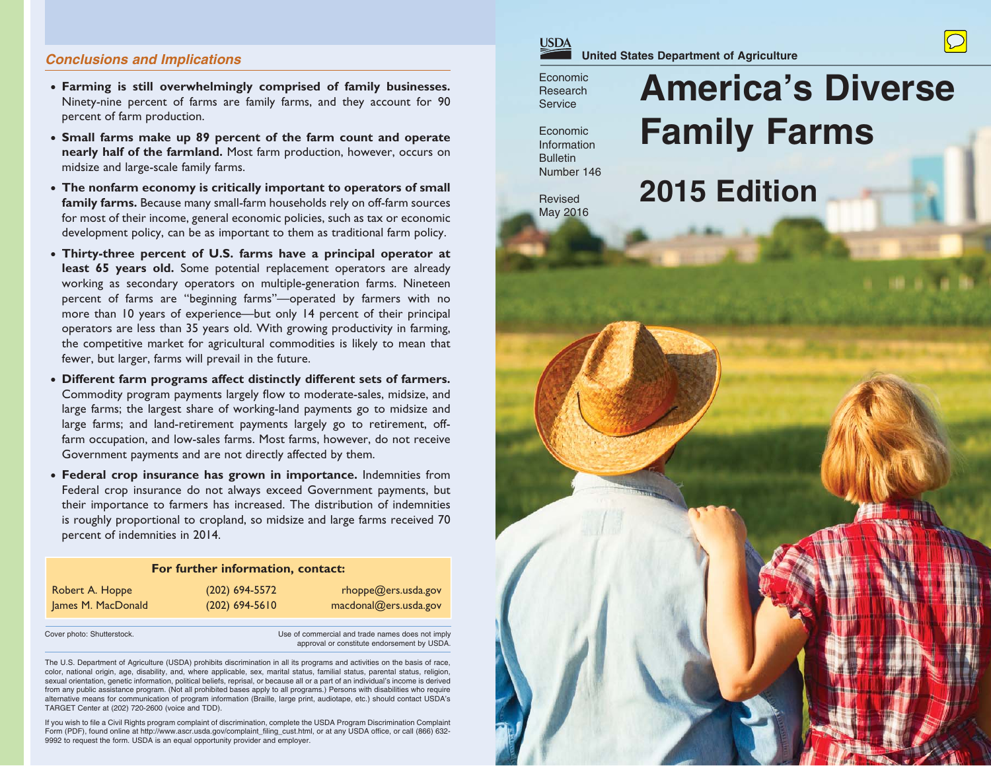## *Conclusions and Implications*

- • **Farming is still overwhelmingly comprised of family businesses.**  Ninety-nine percent of farms are family farms, and they account for 90 percent of farm production.
- • **Small farms make up 89 percent of the farm count and operate nearly half of the farmland.** Most farm production, however, occurs on midsize and large-scale family farms.
- • **The nonfarm economy is critically important to operators of small family farms.** Because many small-farm households rely on off-farm sources for most of their income, general economic policies, such as tax or economic development policy, can be as important to them as traditional farm policy.
- • **Thirty-three percent of U.S. farms have a principal operator at least 65 years old.** Some potential replacement operators are already working as secondary operators on multiple-generation farms. Nineteen percent of farms are "beginning farms"—operated by farmers with no more than 10 years of experience—but only 14 percent of their principal operators are less than 35 years old. With growing productivity in farming, the competitive market for agricultural commodities is likely to mean that fewer, but larger, farms will prevail in the future.
- • **Different farm programs affect distinctly different sets of farmers.**  Commodity program payments largely flow to moderate-sales, midsize, and large farms; the largest share of working-land payments go to midsize and large farms; and land-retirement payments largely go to retirement, offfarm occupation, and low-sales farms. Most farms, however, do not receive Government payments and are not directly affected by them.
- • **Federal crop insurance has grown in importance.** Indemnities from Federal crop insurance do not always exceed Government payments, but their importance to farmers has increased. The distribution of indemnities is roughly proportional to cropland, so midsize and large farms received 70 percent of indemnities in 2014.

#### **For further information, contact:**

| Robert A. Hoppe    | $(202)$ 694-5572 | rhoppe@ers.usda.gov   |
|--------------------|------------------|-----------------------|
| James M. MacDonald | $(202)$ 694-5610 | macdonal@ers.usda.gov |

Cover photo: Shutterstock. Use of commercial and trade names does not imply approval or constitute endorsement by USDA.

The U.S. Department of Agriculture (USDA) prohibits discrimination in all its programs and activities on the basis of race, color, national origin, age, disability, and, where applicable, sex, marital status, familial status, parental status, religion, sexual orientation, genetic information, political beliefs, reprisal, or because all or a part of an individual's income is derived from any public assistance program. (Not all prohibited bases apply to all programs.) Persons with disabilities who require alternative means for communication of program information (Braille, large print, audiotape, etc.) should contact USDA's TARGET Center at (202) 720-2600 (voice and TDD).

If you wish to file a Civil Rights program complaint of discrimination, complete the USDA Program Discrimination Complaint Form (PDF), found online at http://www.ascr.usda.gov/complaint\_filing\_cust.html, or at any USDA office, or call (866) 632-9992 to request the form. USDA is an equal opportunity provider and employer.



EconomicResearch**Service** 

EconomicInformation**Bulletin** Number 146

Revised May 2016 **America's DiverseFamily Farms**

# **2015 Edition**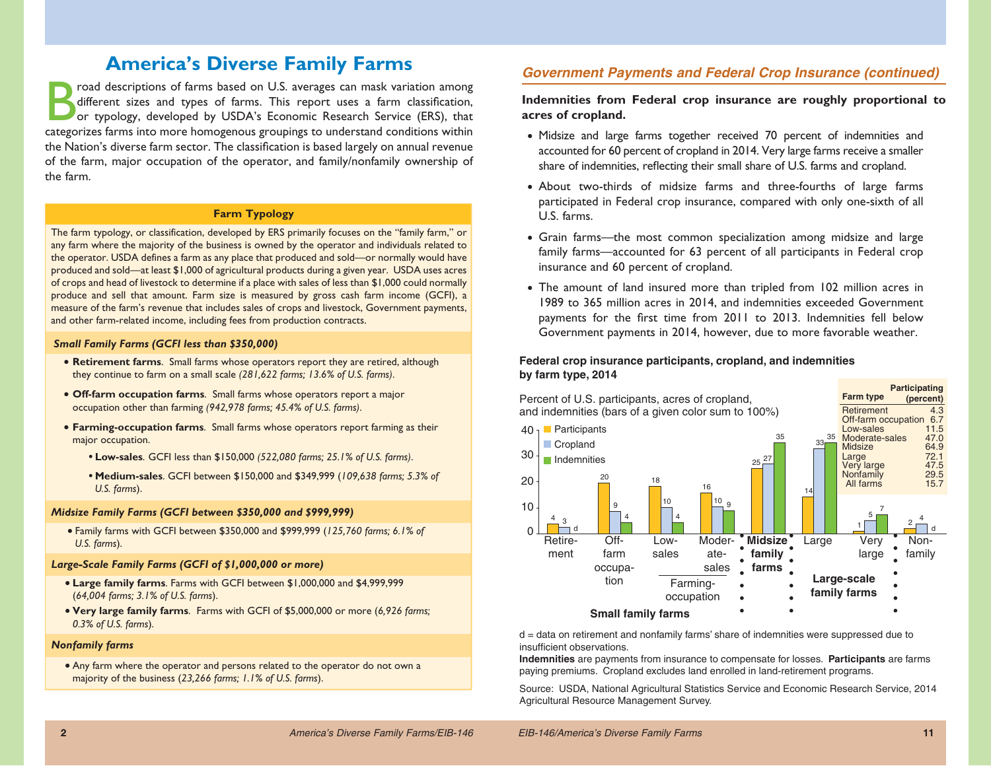## **America's Diverse Family Farms**

road descriptions of farms based on U.S. averages can mask variation among different sizes and types of farms. This report uses a farm classification, or typology, developed by USDA's Economic Research Service (ERS), that categorizes farms into more homogenous groupings to understand conditions within the Nation's diverse farm sector. The classification is based largely on annual revenue of the farm, major occupation of the operator, and family/nonfamily ownership of the farm.

## **Farm Typology**

The farm typology, or classification, developed by ERS primarily focuses on the "family farm," or any farm where the majority of the business is owned by the operator and individuals related to the operator. USDA defines a farm as any place that produced and sold—or normally would have produced and sold—at least \$1,000 of agricultural products during a given year. USDA uses acres of crops and head of livestock to determine if a place with sales of less than \$1,000 could normally produce and sell that amount. Farm size is measured by gross cash farm income (GCFI), a measure of the farm's revenue that includes sales of crops and livestock, Government payments, and other farm-related income, including fees from production contracts.

#### *Small Family Farms (GCFI less than \$350,000)*

- **Retirement farms**. Small farms whose operators report they are retired, although they continue to farm on a small scale *(281,622 farms; 13.6% of U.S. farms)*.
- **Off-farm occupation farms**. Small farms whose operators report a major occupation other than farming *(942,978 farms; 45.4% of U.S. farms)*.
- **Farming-occupation farms**. Small farms whose operators report farming as their major occupation.
	- **• Low-sales**. GCFI less than \$150,000 *(522,080 farms; 25.1% of U.S. farms)*.
	- **• Medium-sales**. GCFI between \$150,000 and \$349,999 (*109,638 farms; 5.3% of U.S. farms*).

#### *Midsize Family Farms (GCFI between \$350,000 and \$999,999)*

• Family farms with GCFI between \$350,000 and \$999,999 (*125,760 farms; 6.1% of U.S. farms*).

#### *Large-Scale Family Farms (GCFI of \$1,000,000 or more)*

- **Large family farms**. Farms with GCFI between \$1,000,000 and \$4,999,999 (*64,004 farms; 3.1% of U.S. farms*).
- **Very large family farms**. Farms with GCFI of \$5,000,000 or more (*6,926 farms; 0.3% of U.S. farms*).

#### *Nonfamily farms*

• Any farm where the operator and persons related to the operator do not own a majority of the business (*23,266 farms; 1.1% of U.S. farms*).

## *Government Payments and Federal Crop Insurance (continued)*

## **Indemnities from Federal crop insurance are roughly proportional to acres of cropland.**

- Midsize and large farms together received 70 percent of indemnities and accounted for 60 percent of cropland in 2014. Very large farms receive a smaller share of indemnities, reflecting their small share of U.S. farms and cropland.
- About two-thirds of midsize farms and three-fourths of large farms participated in Federal crop insurance, compared with only one-sixth of all U.S. farms.
- Grain farms—the most common specialization among midsize and large family farms—accounted for 63 percent of all participants in Federal crop insurance and 60 percent of cropland.
- The amount of land insured more than tripled from 102 million acres in 1989 to 365 million acres in 2014, and indemnities exceeded Government payments for the first time from 2011 to 2013. Indemnities fell below Government payments in 2014, however, due to more favorable weather.

#### **Federal crop insurance participants, cropland, and indemnities by farm type, 2014**



d = data on retirement and nonfamily farms' share of indemnities were suppressed due to insufficient observations.

 **Indemnities** are payments from insurance to compensate for losses. **Participants** are farms paying premiums. Cropland excludes land enrolled in land-retirement programs.

Source: USDA, National Agricultural Statistics Service and Economic Research Service, 2014 Agricultural Resource Management Survey.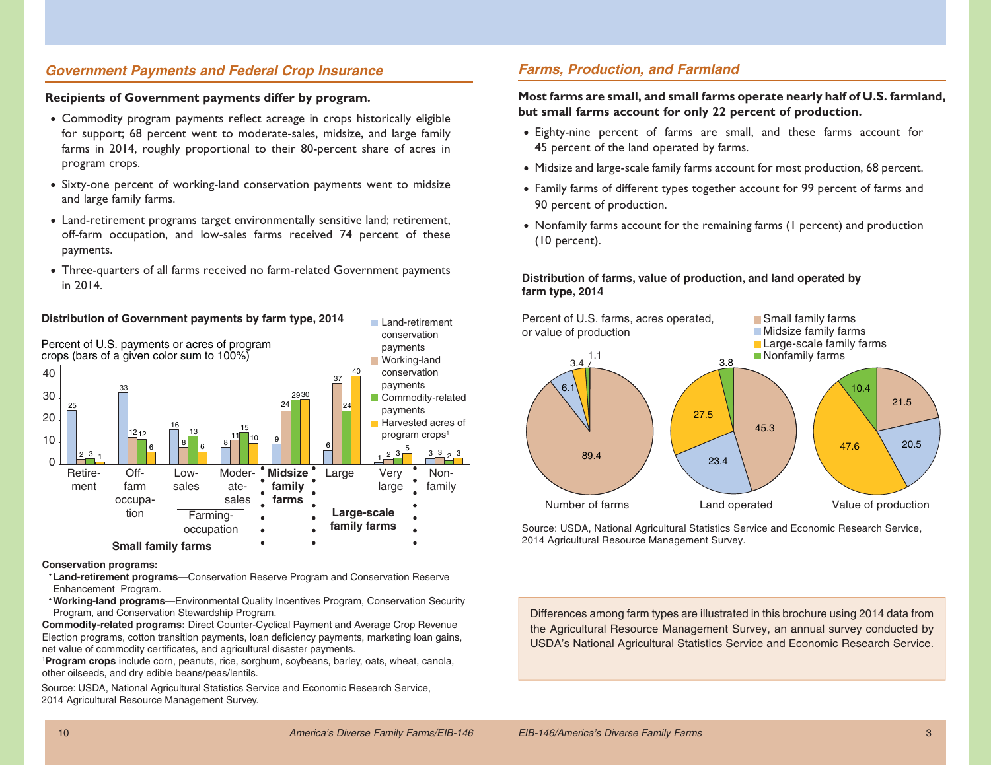## *Government Payments and Federal Crop Insurance*

#### **Recipients of Government payments differ by program.**

- Commodity program payments reflect acreage in crops historically eligible for support; 68 percent went to moderate-sales, midsize, and large family farms in 2014, roughly proportional to their 80-percent share of acres in program crops.
- Sixty-one percent of working-land conservation payments went to midsize and large family farms.
- Land-retirement programs target environmentally sensitive land; retirement, off-farm occupation, and low-sales farms received 74 percent of these payments.
- Three-quarters of all farms received no farm-related Government payments in 2014.



#### **Conservation programs:**

- **Land-retirement programs**—Conservation Reserve Program and Conservation Reserve Enhancement Program.
- **Working-land programs**—Environmental Quality Incentives Program, Conservation Security Program, and Conservation Stewardship Program.

**Commodity-related programs:** Direct Counter-Cyclical Payment and Average Crop Revenue Election programs, cotton transition payments, loan deficiency payments, marketing loan gains, net value of commodity certificates, and agricultural disaster payments.

<sup>1</sup>**Program crops** include corn, peanuts, rice, sorghum, soybeans, barley, oats, wheat, canola, other oilseeds, and dry edible beans/peas/lentils.

Source: USDA, National Agricultural Statistics Service and Economic Research Service, 2014 Agricultural Resource Management Survey.

## *Farms, Production, and Farmland*

## **Most farms are small, and small farms operate nearly half of U.S. farmland, but small farms account for only 22 percent of production.**

- Eighty-nine percent of farms are small, and these farms account for 45 percent of the land operated by farms.
- Midsize and large-scale family farms account for most production, 68 percent.
- Family farms of different types together account for 99 percent of farms and 90 percent of production.
- Nonfamily farms account for the remaining farms (1 percent) and production (10 percent).

### **Distribution of farms, value of production, and land operated by farm type, 2014**



Source: USDA, National Agricultural Statistics Service and Economic Research Service, 2014 Agricultural Resource Management Survey.

Differences among farm types are illustrated in this brochure using 2014 data from the Agricultural Resource Management Survey, an annual survey conducted by USDA's National Agricultural Statistics Service and Economic Research Service.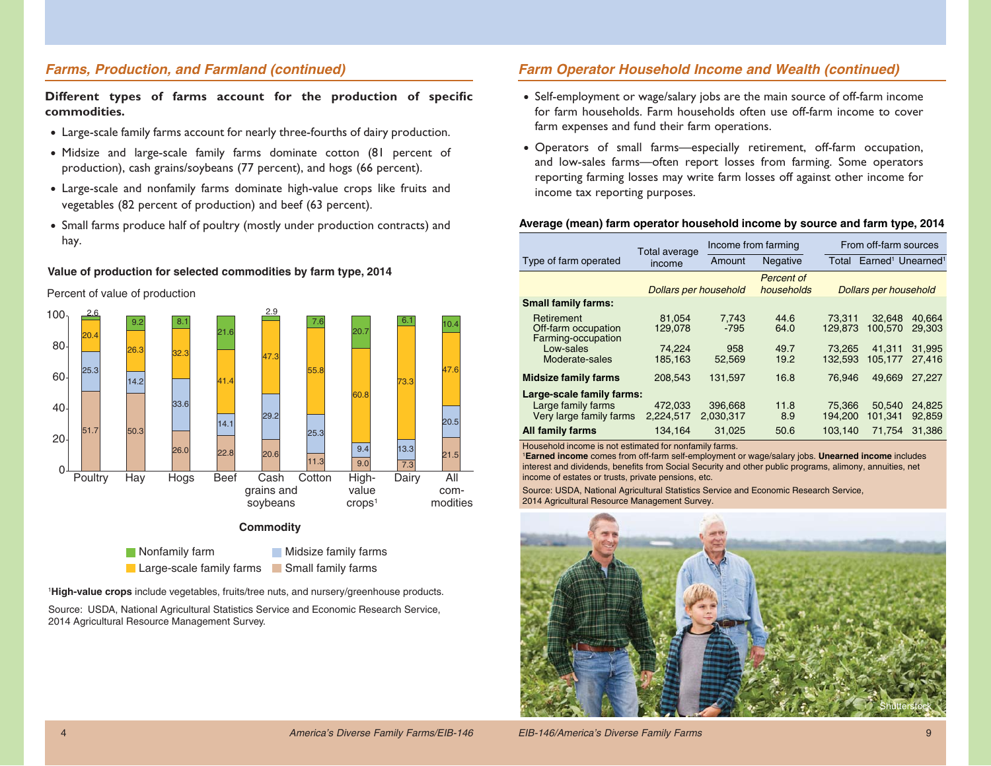## *Farms, Production, and Farmland (continued)*

Different types of farms account for the production of specific **commodities.**

- Large-scale family farms account for nearly three-fourths of dairy production.
- Midsize and large-scale family farms dominate cotton (81 percent of production), cash grains/soybeans (77 percent), and hogs (66 percent).
- Large-scale and nonfamily farms dominate high-value crops like fruits and vegetables (82 percent of production) and beef (63 percent).
- Small farms produce half of poultry (mostly under production contracts) and hay.

#### **Value of production for selected commodities by farm type, 2014**

Percent of value of production



Large-scale family farms Small family farms

<sup>1</sup>**High-value crops** include vegetables, fruits/tree nuts, and nursery/greenhouse products.

Source: USDA, National Agricultural Statistics Service and Economic Research Service, 2014 Agricultural Resource Management Survey.

## *Farm Operator Household Income and Wealth (continued)*

- Self-employment or wage/salary jobs are the main source of off-farm income for farm households. Farm households often use off-farm income to cover farm expenses and fund their farm operations.
- Operators of small farms—especially retirement, off-farm occupation, and low-sales farms—often report losses from farming. Some operators reporting farming losses may write farm losses off against other income for income tax reporting purposes.

## **Average (mean) farm operator household income by source and farm type, 2014**

| Total average<br>income      | Amount                                                                               | <b>Negative</b>                                     |                   | Total Earned <sup>1</sup> Unearned <sup>1</sup> |                            |
|------------------------------|--------------------------------------------------------------------------------------|-----------------------------------------------------|-------------------|-------------------------------------------------|----------------------------|
|                              |                                                                                      |                                                     |                   |                                                 |                            |
| <b>Dollars per household</b> |                                                                                      | Percent of<br>households                            |                   | <b>Dollars per household</b>                    |                            |
|                              |                                                                                      |                                                     |                   |                                                 |                            |
|                              | 7.743<br>-795                                                                        | 44.6<br>64.0                                        | 73.311<br>129.873 | 32.648<br>100.570                               | 40.664<br>29.303           |
|                              | 958                                                                                  | 49.7<br>19.2                                        | 73.265<br>132.593 | 41,311<br>105.177                               | 31,995<br>27.416           |
|                              |                                                                                      | 16.8                                                | 76.946            | 49.669                                          | 27.227                     |
|                              |                                                                                      | 11.8<br>8.9                                         | 75.366<br>194.200 | 50.540<br>101.341                               | 24,825<br>92.859<br>31.386 |
|                              | 81.054<br>129.078<br>74,224<br>185.163<br>208,543<br>472,033<br>2.224.517<br>134.164 | 52.569<br>131,597<br>396,668<br>2.030.317<br>31.025 | 50.6              | 103.140                                         | 71.754                     |

Household income is not estimated for nonfamily farms.

<sup>1</sup>**Earned income** comes from off-farm self-employment or wage/salary jobs. **Unearned income** includes interest and dividends, benefits from Social Security and other public programs, alimony, annuities, net income of estates or trusts, private pensions, etc.

Source: USDA, National Agricultural Statistics Service and Economic Research Service, 2014 Agricultural Resource Management Survey.

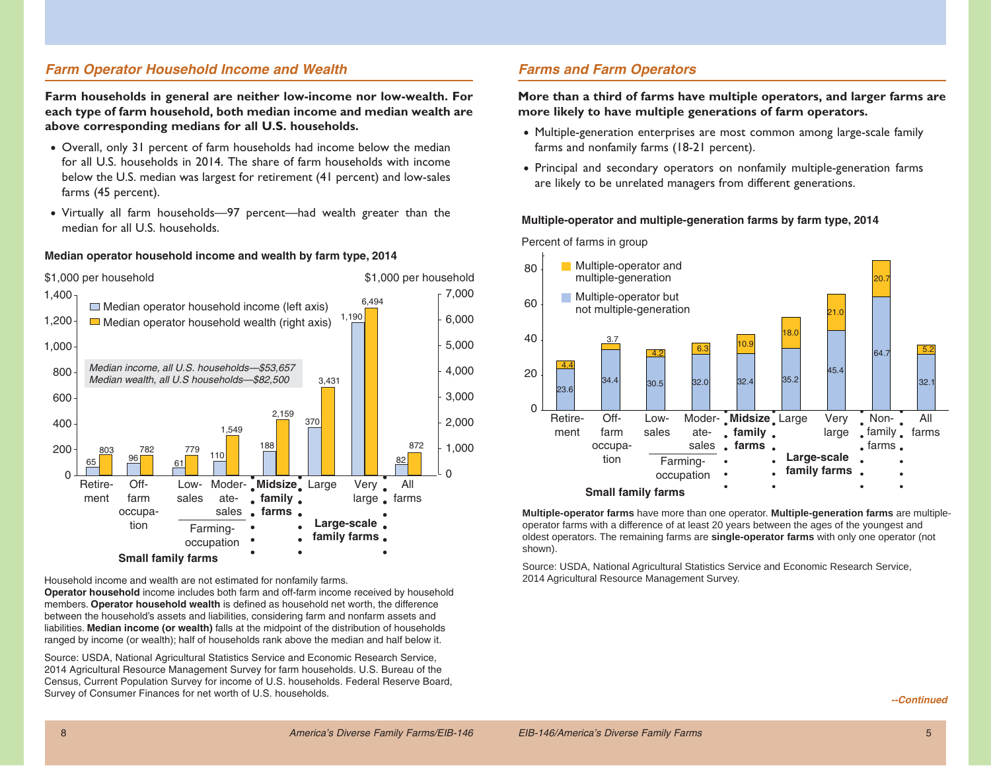## *Farm Operator Household Income and Wealth*

**Farm households in general are neither low-income nor low-wealth. For each type of farm household, both median income and median wealth are above corresponding medians for all U.S. households.**

- Overall, only 31 percent of farm households had income below the median for all U.S. households in 2014. The share of farm households with income below the U.S. median was largest for retirement (41 percent) and low-sales farms (45 percent).
- Virtually all farm households—97 percent—had wealth greater than the median for all U.S. households.

#### **Median operator household income and wealth by farm type, 2014**



Household income and wealth are not estimated for nonfamily farms.

**Operator household** income includes both farm and off-farm income received by household members. **Operator household wealth** is defined as household net worth, the difference between the household's assets and liabilities, considering farm and nonfarm assets and liabilities. **Median income (or wealth)** falls at the midpoint of the distribution of households ranged by income (or wealth); half of households rank above the median and half below it.

Source: USDA, National Agricultural Statistics Service and Economic Research Service, 2014 Agricultural Resource Management Survey for farm households. U.S. Bureau of the Census, Current Population Survey for income of U.S. households. Federal Reserve Board, Survey of Consumer Finances for net worth of U.S. households.

## *Farms and Farm Operators*

**More than a third of farms have multiple operators, and larger farms are more likely to have multiple generations of farm operators.**

- Multiple-generation enterprises are most common among large-scale family farms and nonfamily farms (18-21 percent).
- Principal and secondary operators on nonfamily multiple-generation farms are likely to be unrelated managers from different generations.

#### **Multiple-operator and multiple-generation farms by farm type, 2014**

Percent of farms in group



**Multiple-operator farms** have more than one operator. **Multiple-generation farms** are multipleoperator farms with a difference of at least 20 years between the ages of the youngest and oldest operators. The remaining farms are **single-operator farms** with only one operator (not shown).

Source: USDA, National Agricultural Statistics Service and Economic Research Service, 2014 Agricultural Resource Management Survey.